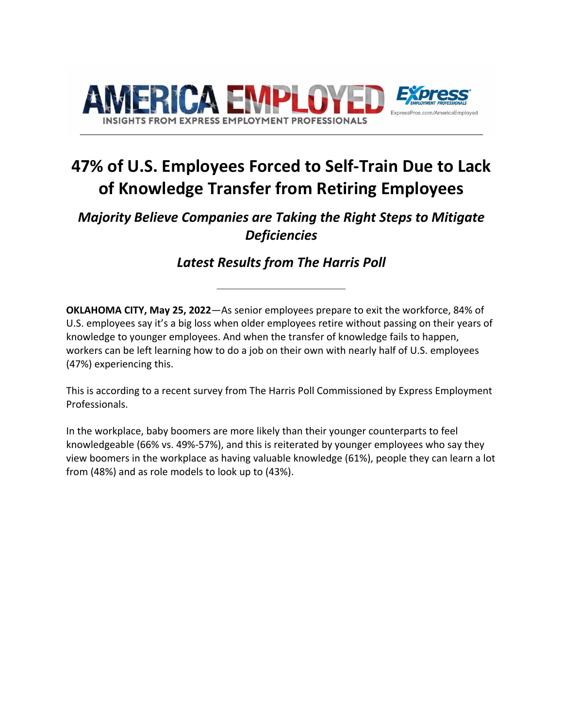

# **47% of U.S. Employees Forced to Self-Train Due to Lack of Knowledge Transfer from Retiring Employees**

## *Majority Believe Companies are Taking the Right Steps to Mitigate Deficiencies*

*Latest Results from The Harris Poll*

**\_\_\_\_\_\_\_\_\_\_\_\_\_\_\_\_\_\_\_\_\_**

**OKLAHOMA CITY, May 25, 2022**—As senior employees prepare to exit the workforce, 84% of U.S. employees say it's a big loss when older employees retire without passing on their years of knowledge to younger employees. And when the transfer of knowledge fails to happen, workers can be left learning how to do a job on their own with nearly half of U.S. employees (47%) experiencing this.

This is according to a recent survey from The Harris Poll Commissioned by Express Employment Professionals.

In the workplace, baby boomers are more likely than their younger counterparts to feel knowledgeable (66% vs. 49%-57%), and this is reiterated by younger employees who say they view boomers in the workplace as having valuable knowledge (61%), people they can learn a lot from (48%) and as role models to look up to (43%).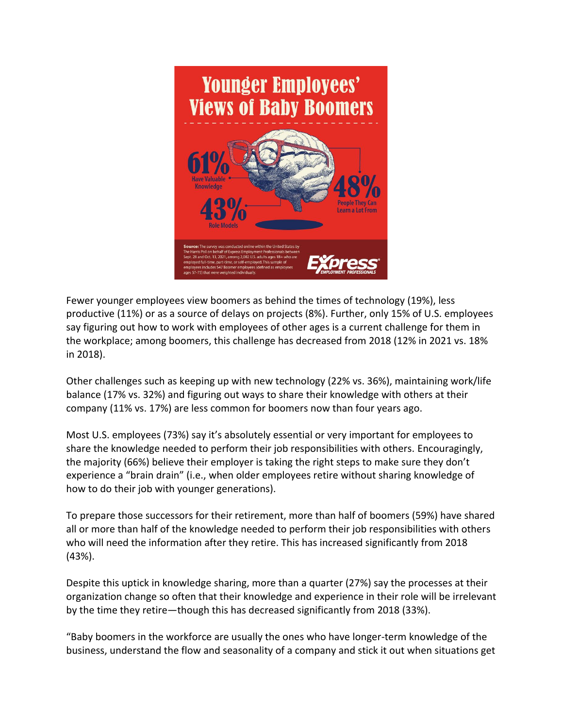

Fewer younger employees view boomers as behind the times of technology (19%), less productive (11%) or as a source of delays on projects (8%). Further, only 15% of U.S. employees say figuring out how to work with employees of other ages is a current challenge for them in the workplace; among boomers, this challenge has decreased from 2018 (12% in 2021 vs. 18% in 2018).

Other challenges such as keeping up with new technology (22% vs. 36%), maintaining work/life balance (17% vs. 32%) and figuring out ways to share their knowledge with others at their company (11% vs. 17%) are less common for boomers now than four years ago.

Most U.S. employees (73%) say it's absolutely essential or very important for employees to share the knowledge needed to perform their job responsibilities with others. Encouragingly, the majority (66%) believe their employer is taking the right steps to make sure they don't experience a "brain drain" (i.e., when older employees retire without sharing knowledge of how to do their job with younger generations).

To prepare those successors for their retirement, more than half of boomers (59%) have shared all or more than half of the knowledge needed to perform their job responsibilities with others who will need the information after they retire. This has increased significantly from 2018 (43%).

Despite this uptick in knowledge sharing, more than a quarter (27%) say the processes at their organization change so often that their knowledge and experience in their role will be irrelevant by the time they retire—though this has decreased significantly from 2018 (33%).

"Baby boomers in the workforce are usually the ones who have longer-term knowledge of the business, understand the flow and seasonality of a company and stick it out when situations get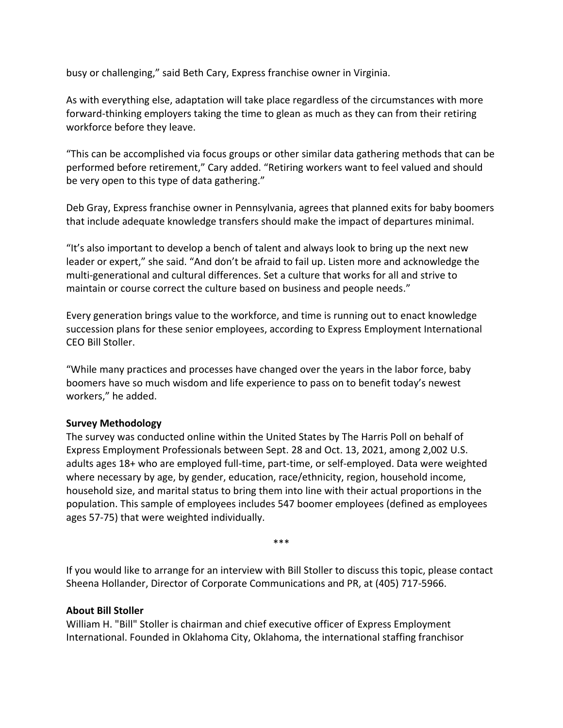busy or challenging," said Beth Cary, Express franchise owner in Virginia.

As with everything else, adaptation will take place regardless of the circumstances with more forward-thinking employers taking the time to glean as much as they can from their retiring workforce before they leave.

"This can be accomplished via focus groups or other similar data gathering methods that can be performed before retirement," Cary added. "Retiring workers want to feel valued and should be very open to this type of data gathering."

Deb Gray, Express franchise owner in Pennsylvania, agrees that planned exits for baby boomers that include adequate knowledge transfers should make the impact of departures minimal.

"It's also important to develop a bench of talent and always look to bring up the next new leader or expert," she said. "And don't be afraid to fail up. Listen more and acknowledge the multi-generational and cultural differences. Set a culture that works for all and strive to maintain or course correct the culture based on business and people needs."

Every generation brings value to the workforce, and time is running out to enact knowledge succession plans for these senior employees, according to Express Employment International CEO Bill Stoller.

"While many practices and processes have changed over the years in the labor force, baby boomers have so much wisdom and life experience to pass on to benefit today's newest workers," he added.

#### **Survey Methodology**

The survey was conducted online within the United States by The Harris Poll on behalf of Express Employment Professionals between Sept. 28 and Oct. 13, 2021, among 2,002 U.S. adults ages 18+ who are employed full-time, part-time, or self-employed. Data were weighted where necessary by age, by gender, education, race/ethnicity, region, household income, household size, and marital status to bring them into line with their actual proportions in the population. This sample of employees includes 547 boomer employees (defined as employees ages 57-75) that were weighted individually.

\*\*\*

If you would like to arrange for an interview with Bill Stoller to discuss this topic, please contact Sheena Hollander, Director of Corporate Communications and PR, at (405) 717-5966.

#### **About Bill Stoller**

William H. "Bill" Stoller is chairman and chief executive officer of Express Employment International. Founded in Oklahoma City, Oklahoma, the international staffing franchisor